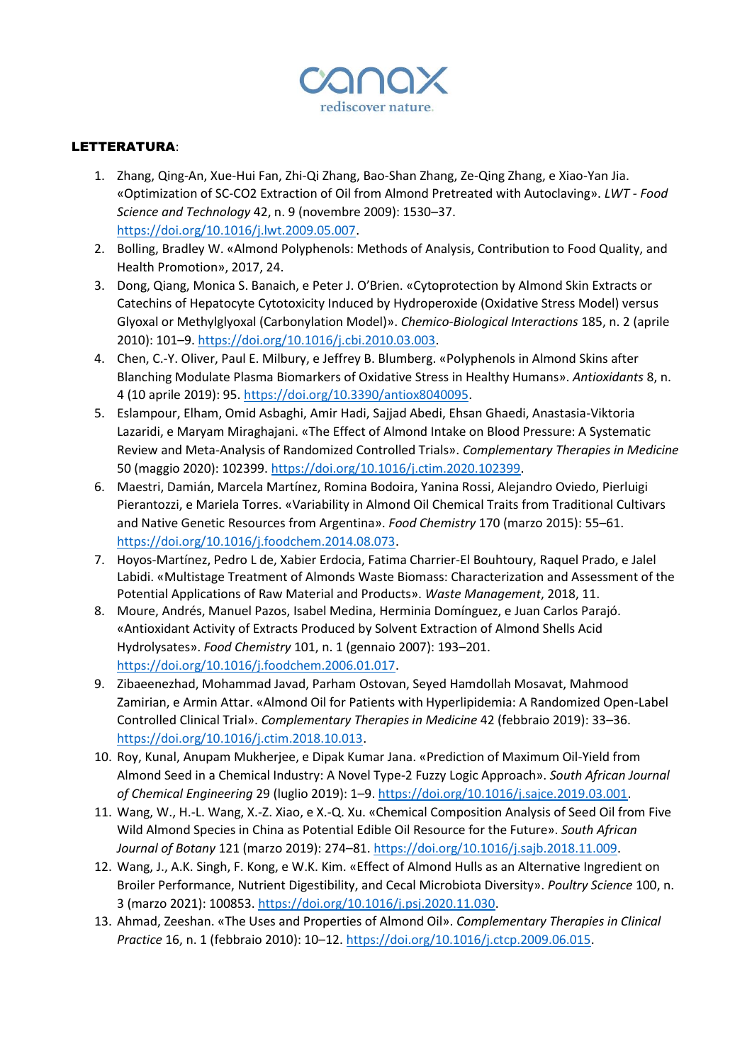

## LETTERATURA:

- 1. Zhang, Qing-An, Xue-Hui Fan, Zhi-Qi Zhang, Bao-Shan Zhang, Ze-Qing Zhang, e Xiao-Yan Jia. «Optimization of SC-CO2 Extraction of Oil from Almond Pretreated with Autoclaving». *LWT - Food Science and Technology* 42, n. 9 (novembre 2009): 1530–37. [https://doi.org/10.1016/j.lwt.2009.05.007.](https://doi.org/10.1016/j.lwt.2009.05.007)
- 2. Bolling, Bradley W. «Almond Polyphenols: Methods of Analysis, Contribution to Food Quality, and Health Promotion», 2017, 24.
- 3. Dong, Qiang, Monica S. Banaich, e Peter J. O'Brien. «Cytoprotection by Almond Skin Extracts or Catechins of Hepatocyte Cytotoxicity Induced by Hydroperoxide (Oxidative Stress Model) versus Glyoxal or Methylglyoxal (Carbonylation Model)». *Chemico-Biological Interactions* 185, n. 2 (aprile 2010): 101–9. [https://doi.org/10.1016/j.cbi.2010.03.003.](https://doi.org/10.1016/j.cbi.2010.03.003)
- 4. Chen, C.-Y. Oliver, Paul E. Milbury, e Jeffrey B. Blumberg. «Polyphenols in Almond Skins after Blanching Modulate Plasma Biomarkers of Oxidative Stress in Healthy Humans». *Antioxidants* 8, n. 4 (10 aprile 2019): 95. [https://doi.org/10.3390/antiox8040095.](https://doi.org/10.3390/antiox8040095)
- 5. Eslampour, Elham, Omid Asbaghi, Amir Hadi, Sajjad Abedi, Ehsan Ghaedi, Anastasia-Viktoria Lazaridi, e Maryam Miraghajani. «The Effect of Almond Intake on Blood Pressure: A Systematic Review and Meta-Analysis of Randomized Controlled Trials». *Complementary Therapies in Medicine* 50 (maggio 2020): 102399[. https://doi.org/10.1016/j.ctim.2020.102399.](https://doi.org/10.1016/j.ctim.2020.102399)
- 6. Maestri, Damián, Marcela Martínez, Romina Bodoira, Yanina Rossi, Alejandro Oviedo, Pierluigi Pierantozzi, e Mariela Torres. «Variability in Almond Oil Chemical Traits from Traditional Cultivars and Native Genetic Resources from Argentina». *Food Chemistry* 170 (marzo 2015): 55–61. [https://doi.org/10.1016/j.foodchem.2014.08.073.](https://doi.org/10.1016/j.foodchem.2014.08.073)
- 7. Hoyos-Martínez, Pedro L de, Xabier Erdocia, Fatima Charrier-El Bouhtoury, Raquel Prado, e Jalel Labidi. «Multistage Treatment of Almonds Waste Biomass: Characterization and Assessment of the Potential Applications of Raw Material and Products». *Waste Management*, 2018, 11.
- 8. Moure, Andrés, Manuel Pazos, Isabel Medina, Herminia Domínguez, e Juan Carlos Parajó. «Antioxidant Activity of Extracts Produced by Solvent Extraction of Almond Shells Acid Hydrolysates». *Food Chemistry* 101, n. 1 (gennaio 2007): 193–201. [https://doi.org/10.1016/j.foodchem.2006.01.017.](https://doi.org/10.1016/j.foodchem.2006.01.017)
- 9. Zibaeenezhad, Mohammad Javad, Parham Ostovan, Seyed Hamdollah Mosavat, Mahmood Zamirian, e Armin Attar. «Almond Oil for Patients with Hyperlipidemia: A Randomized Open-Label Controlled Clinical Trial». *Complementary Therapies in Medicine* 42 (febbraio 2019): 33–36. [https://doi.org/10.1016/j.ctim.2018.10.013.](https://doi.org/10.1016/j.ctim.2018.10.013)
- 10. Roy, Kunal, Anupam Mukherjee, e Dipak Kumar Jana. «Prediction of Maximum Oil-Yield from Almond Seed in a Chemical Industry: A Novel Type-2 Fuzzy Logic Approach». *South African Journal of Chemical Engineering* 29 (luglio 2019): 1–9[. https://doi.org/10.1016/j.sajce.2019.03.001.](https://doi.org/10.1016/j.sajce.2019.03.001)
- 11. Wang, W., H.-L. Wang, X.-Z. Xiao, e X.-Q. Xu. «Chemical Composition Analysis of Seed Oil from Five Wild Almond Species in China as Potential Edible Oil Resource for the Future». *South African Journal of Botany* 121 (marzo 2019): 274–81. [https://doi.org/10.1016/j.sajb.2018.11.009.](https://doi.org/10.1016/j.sajb.2018.11.009)
- 12. Wang, J., A.K. Singh, F. Kong, e W.K. Kim. «Effect of Almond Hulls as an Alternative Ingredient on Broiler Performance, Nutrient Digestibility, and Cecal Microbiota Diversity». *Poultry Science* 100, n. 3 (marzo 2021): 100853. [https://doi.org/10.1016/j.psj.2020.11.030.](https://doi.org/10.1016/j.psj.2020.11.030)
- 13. Ahmad, Zeeshan. «The Uses and Properties of Almond Oil». *Complementary Therapies in Clinical Practice* 16, n. 1 (febbraio 2010): 10–12. [https://doi.org/10.1016/j.ctcp.2009.06.015.](https://doi.org/10.1016/j.ctcp.2009.06.015)